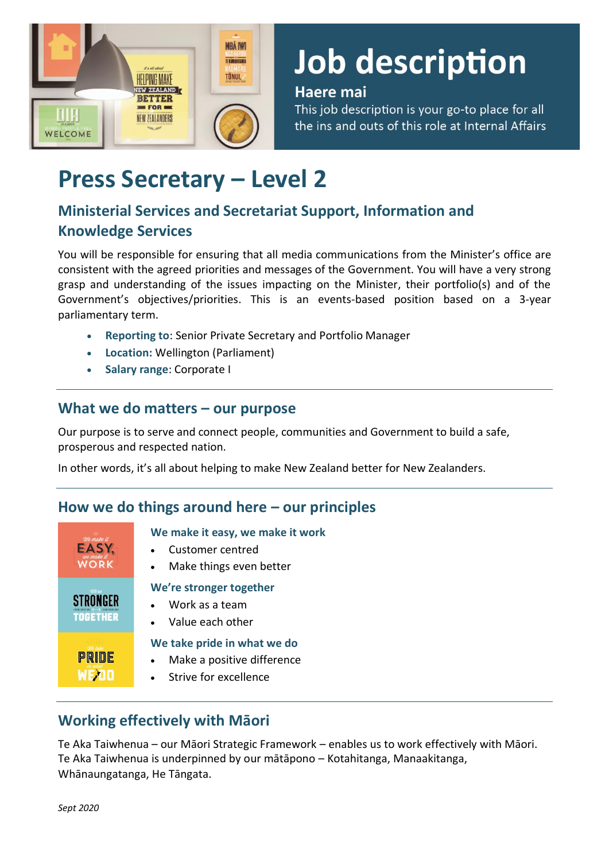

# Job description

#### Haere mai

This job description is your go-to place for all the ins and outs of this role at Internal Affairs

# **Press Secretary – Level 2**

# **Ministerial Services and Secretariat Support, Information and Knowledge Services**

You will be responsible for ensuring that all media communications from the Minister's office are consistent with the agreed priorities and messages of the Government. You will have a very strong grasp and understanding of the issues impacting on the Minister, their portfolio(s) and of the Government's objectives/priorities. This is an events-based position based on a 3-year parliamentary term.

- **Reporting to**: Senior Private Secretary and Portfolio Manager
- **Location:** Wellington (Parliament)
- **Salary range**: Corporate I

#### **What we do matters – our purpose**

Our purpose is to serve and connect people, communities and Government to build a safe, prosperous and respected nation.

In other words, it's all about helping to make New Zealand better for New Zealanders.

### **How we do things around here – our principles**

| We make it      | We make it easy, we make it work                                                   |
|-----------------|------------------------------------------------------------------------------------|
| EASY.           | Customer centred                                                                   |
| <b>WORK</b>     | Make things even better                                                            |
| $7$ /a'se       | We're stronger together                                                            |
| <b>STRONGFR</b> | • Work as a team                                                                   |
| <b>TOGETHER</b> | Value each other                                                                   |
| PRIDE           | We take pride in what we do<br>Make a positive difference<br>Strive for excellence |

## **Working effectively with Māori**

Te Aka Taiwhenua – our Māori Strategic Framework – enables us to work effectively with Māori. Te Aka Taiwhenua is underpinned by our mātāpono – Kotahitanga, Manaakitanga, Whānaungatanga, He Tāngata.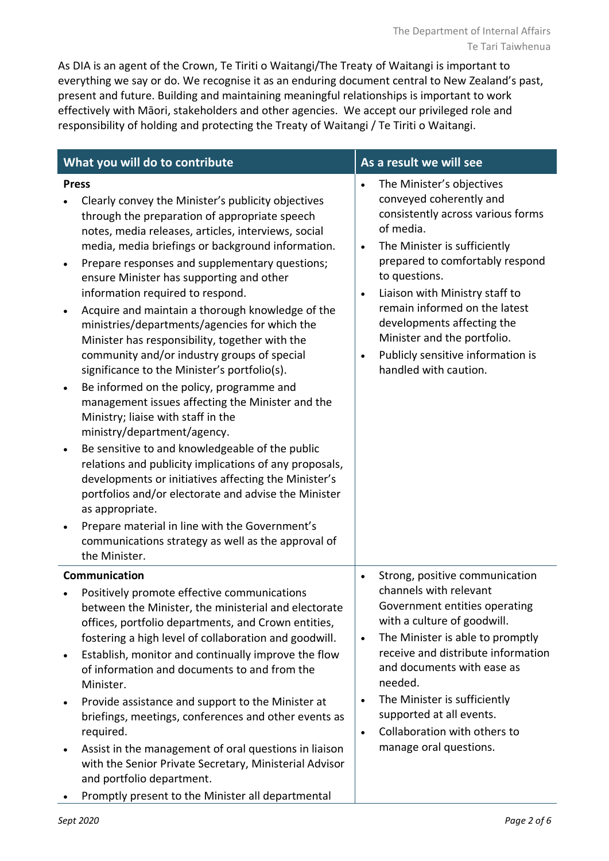As DIA is an agent of the Crown, Te Tiriti o Waitangi/The Treaty of Waitangi is important to everything we say or do. We recognise it as an enduring document central to New Zealand's past, present and future. Building and maintaining meaningful relationships is important to work effectively with Māori, stakeholders and other agencies. We accept our privileged role and responsibility of holding and protecting the Treaty of Waitangi / Te Tiriti o Waitangi.

| What you will do to contribute                                                                                                                                                                                                                                                                                                                                                                                                                                                                                                                                                                                                                                                                       |                                                                                                                                                                                                                                                                                                                                                                                                                                                                                                                                                                                                                                                                                                                                                                                                                                                                                                                                                                                                                                                                                                                                                                       |                                                  | As a result we will see                                                                                                                                                                                                                                                                                                                                                                  |  |  |
|------------------------------------------------------------------------------------------------------------------------------------------------------------------------------------------------------------------------------------------------------------------------------------------------------------------------------------------------------------------------------------------------------------------------------------------------------------------------------------------------------------------------------------------------------------------------------------------------------------------------------------------------------------------------------------------------------|-----------------------------------------------------------------------------------------------------------------------------------------------------------------------------------------------------------------------------------------------------------------------------------------------------------------------------------------------------------------------------------------------------------------------------------------------------------------------------------------------------------------------------------------------------------------------------------------------------------------------------------------------------------------------------------------------------------------------------------------------------------------------------------------------------------------------------------------------------------------------------------------------------------------------------------------------------------------------------------------------------------------------------------------------------------------------------------------------------------------------------------------------------------------------|--------------------------------------------------|------------------------------------------------------------------------------------------------------------------------------------------------------------------------------------------------------------------------------------------------------------------------------------------------------------------------------------------------------------------------------------------|--|--|
| $\bullet$<br>$\bullet$                                                                                                                                                                                                                                                                                                                                                                                                                                                                                                                                                                                                                                                                               | <b>Press</b><br>Clearly convey the Minister's publicity objectives<br>through the preparation of appropriate speech<br>notes, media releases, articles, interviews, social<br>media, media briefings or background information.<br>Prepare responses and supplementary questions;<br>ensure Minister has supporting and other<br>information required to respond.<br>Acquire and maintain a thorough knowledge of the<br>ministries/departments/agencies for which the<br>Minister has responsibility, together with the<br>community and/or industry groups of special<br>significance to the Minister's portfolio(s).<br>Be informed on the policy, programme and<br>management issues affecting the Minister and the<br>Ministry; liaise with staff in the<br>ministry/department/agency.<br>Be sensitive to and knowledgeable of the public<br>relations and publicity implications of any proposals,<br>developments or initiatives affecting the Minister's<br>portfolios and/or electorate and advise the Minister<br>as appropriate.<br>Prepare material in line with the Government's<br>communications strategy as well as the approval of<br>the Minister. | $\bullet$<br>$\bullet$<br>$\bullet$<br>$\bullet$ | The Minister's objectives<br>conveyed coherently and<br>consistently across various forms<br>of media.<br>The Minister is sufficiently<br>prepared to comfortably respond<br>to questions.<br>Liaison with Ministry staff to<br>remain informed on the latest<br>developments affecting the<br>Minister and the portfolio.<br>Publicly sensitive information is<br>handled with caution. |  |  |
| Communication<br>Positively promote effective communications<br>between the Minister, the ministerial and electorate<br>offices, portfolio departments, and Crown entities,<br>fostering a high level of collaboration and goodwill.<br>Establish, monitor and continually improve the flow<br>$\bullet$<br>of information and documents to and from the<br>Minister.<br>Provide assistance and support to the Minister at<br>briefings, meetings, conferences and other events as<br>required.<br>Assist in the management of oral questions in liaison<br>with the Senior Private Secretary, Ministerial Advisor<br>and portfolio department.<br>Promptly present to the Minister all departmental |                                                                                                                                                                                                                                                                                                                                                                                                                                                                                                                                                                                                                                                                                                                                                                                                                                                                                                                                                                                                                                                                                                                                                                       | $\bullet$<br>$\bullet$<br>$\bullet$              | Strong, positive communication<br>channels with relevant<br>Government entities operating<br>with a culture of goodwill.<br>The Minister is able to promptly<br>receive and distribute information<br>and documents with ease as<br>needed.<br>The Minister is sufficiently<br>supported at all events.<br>Collaboration with others to<br>manage oral questions.                        |  |  |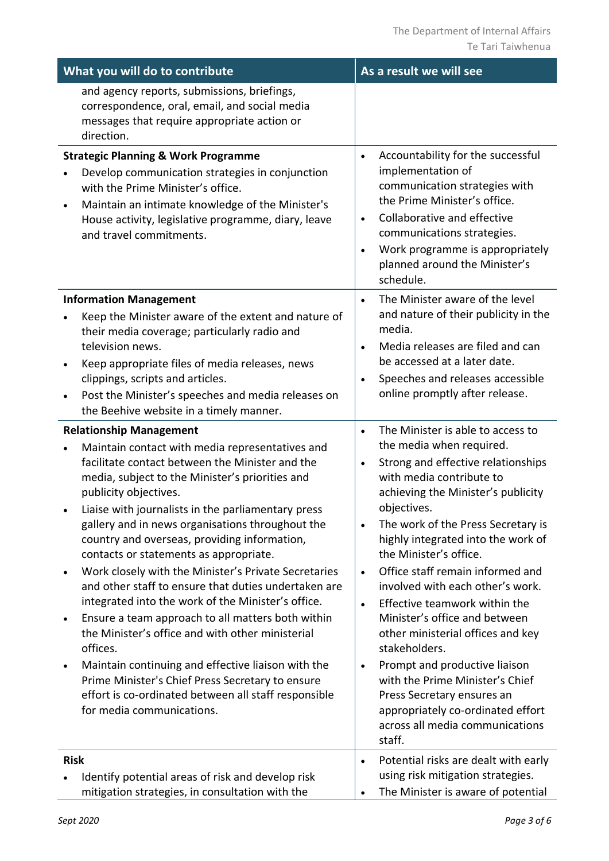| What you will do to contribute                                                                                                                                                                                                                                                                                                                                                                                                                                                                                                                                                                                                                                                                                                                                                                                                                                                                                                           | As a result we will see                                                                                                                                                                                                                                                                                                                                                                                                                                                                                                                                                                                                                                                                                                                                      |  |  |  |  |
|------------------------------------------------------------------------------------------------------------------------------------------------------------------------------------------------------------------------------------------------------------------------------------------------------------------------------------------------------------------------------------------------------------------------------------------------------------------------------------------------------------------------------------------------------------------------------------------------------------------------------------------------------------------------------------------------------------------------------------------------------------------------------------------------------------------------------------------------------------------------------------------------------------------------------------------|--------------------------------------------------------------------------------------------------------------------------------------------------------------------------------------------------------------------------------------------------------------------------------------------------------------------------------------------------------------------------------------------------------------------------------------------------------------------------------------------------------------------------------------------------------------------------------------------------------------------------------------------------------------------------------------------------------------------------------------------------------------|--|--|--|--|
| and agency reports, submissions, briefings,<br>correspondence, oral, email, and social media<br>messages that require appropriate action or<br>direction.                                                                                                                                                                                                                                                                                                                                                                                                                                                                                                                                                                                                                                                                                                                                                                                |                                                                                                                                                                                                                                                                                                                                                                                                                                                                                                                                                                                                                                                                                                                                                              |  |  |  |  |
| <b>Strategic Planning &amp; Work Programme</b><br>Develop communication strategies in conjunction<br>with the Prime Minister's office.<br>Maintain an intimate knowledge of the Minister's<br>$\bullet$<br>House activity, legislative programme, diary, leave<br>and travel commitments.                                                                                                                                                                                                                                                                                                                                                                                                                                                                                                                                                                                                                                                | Accountability for the successful<br>$\bullet$<br>implementation of<br>communication strategies with<br>the Prime Minister's office.<br>Collaborative and effective<br>$\bullet$<br>communications strategies.<br>Work programme is appropriately<br>$\bullet$<br>planned around the Minister's<br>schedule.                                                                                                                                                                                                                                                                                                                                                                                                                                                 |  |  |  |  |
| <b>Information Management</b><br>Keep the Minister aware of the extent and nature of<br>their media coverage; particularly radio and<br>television news.<br>Keep appropriate files of media releases, news<br>clippings, scripts and articles.<br>Post the Minister's speeches and media releases on<br>$\bullet$<br>the Beehive website in a timely manner.                                                                                                                                                                                                                                                                                                                                                                                                                                                                                                                                                                             | The Minister aware of the level<br>$\bullet$<br>and nature of their publicity in the<br>media.<br>Media releases are filed and can<br>$\bullet$<br>be accessed at a later date.<br>Speeches and releases accessible<br>$\bullet$<br>online promptly after release.                                                                                                                                                                                                                                                                                                                                                                                                                                                                                           |  |  |  |  |
| <b>Relationship Management</b><br>Maintain contact with media representatives and<br>facilitate contact between the Minister and the<br>media, subject to the Minister's priorities and<br>publicity objectives.<br>Liaise with journalists in the parliamentary press<br>gallery and in news organisations throughout the<br>country and overseas, providing information,<br>contacts or statements as appropriate.<br>Work closely with the Minister's Private Secretaries<br>and other staff to ensure that duties undertaken are<br>integrated into the work of the Minister's office.<br>Ensure a team approach to all matters both within<br>$\bullet$<br>the Minister's office and with other ministerial<br>offices.<br>Maintain continuing and effective liaison with the<br>$\bullet$<br>Prime Minister's Chief Press Secretary to ensure<br>effort is co-ordinated between all staff responsible<br>for media communications. | The Minister is able to access to<br>$\bullet$<br>the media when required.<br>Strong and effective relationships<br>$\bullet$<br>with media contribute to<br>achieving the Minister's publicity<br>objectives.<br>The work of the Press Secretary is<br>$\bullet$<br>highly integrated into the work of<br>the Minister's office.<br>Office staff remain informed and<br>$\bullet$<br>involved with each other's work.<br>Effective teamwork within the<br>$\bullet$<br>Minister's office and between<br>other ministerial offices and key<br>stakeholders.<br>Prompt and productive liaison<br>$\bullet$<br>with the Prime Minister's Chief<br>Press Secretary ensures an<br>appropriately co-ordinated effort<br>across all media communications<br>staff. |  |  |  |  |
| <b>Risk</b><br>Identify potential areas of risk and develop risk<br>mitigation strategies, in consultation with the                                                                                                                                                                                                                                                                                                                                                                                                                                                                                                                                                                                                                                                                                                                                                                                                                      | Potential risks are dealt with early<br>$\bullet$<br>using risk mitigation strategies.<br>The Minister is aware of potential<br>$\bullet$                                                                                                                                                                                                                                                                                                                                                                                                                                                                                                                                                                                                                    |  |  |  |  |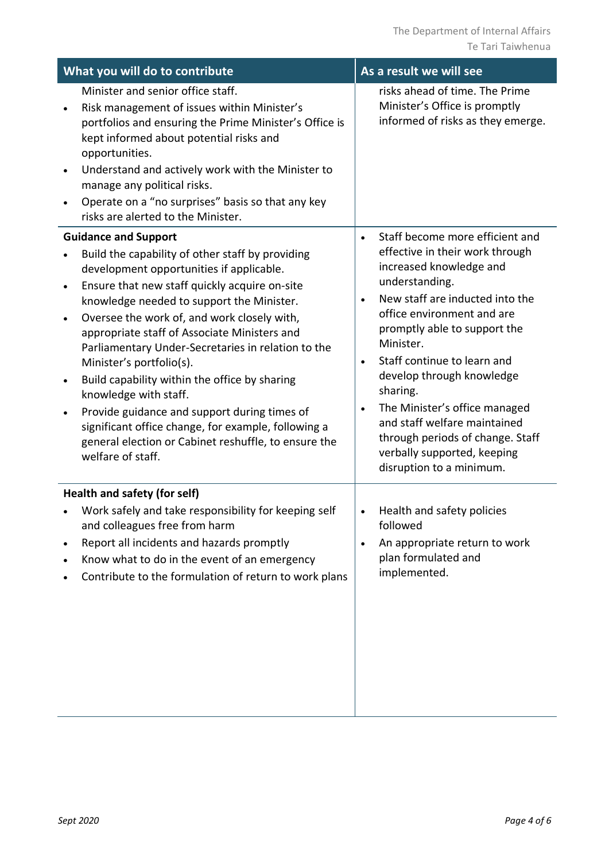| As a result we will see                                                                                                                                                                                                                                                                                                                                                                                                                                                                                      |
|--------------------------------------------------------------------------------------------------------------------------------------------------------------------------------------------------------------------------------------------------------------------------------------------------------------------------------------------------------------------------------------------------------------------------------------------------------------------------------------------------------------|
| risks ahead of time. The Prime<br>Minister's Office is promptly<br>informed of risks as they emerge.                                                                                                                                                                                                                                                                                                                                                                                                         |
| Staff become more efficient and<br>$\bullet$<br>effective in their work through<br>increased knowledge and<br>understanding.<br>New staff are inducted into the<br>$\bullet$<br>office environment and are<br>promptly able to support the<br>Minister.<br>Staff continue to learn and<br>$\bullet$<br>develop through knowledge<br>sharing.<br>The Minister's office managed<br>and staff welfare maintained<br>through periods of change. Staff<br>verbally supported, keeping<br>disruption to a minimum. |
|                                                                                                                                                                                                                                                                                                                                                                                                                                                                                                              |
| Health and safety policies<br>followed<br>An appropriate return to work<br>plan formulated and<br>implemented.                                                                                                                                                                                                                                                                                                                                                                                               |
|                                                                                                                                                                                                                                                                                                                                                                                                                                                                                                              |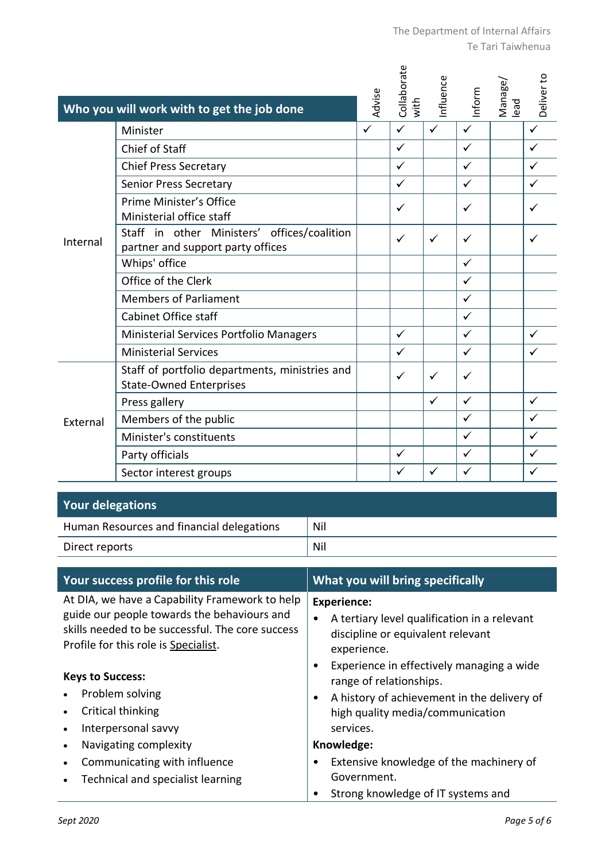| The Department of Internal Affairs |
|------------------------------------|
| Te Tari Taiwhenua                  |

|          | Who you will work with to get the job done                                       | Advise       | Collaborate<br>with | Influence    | Inform       | Manage/<br>lead | Deliver to   |
|----------|----------------------------------------------------------------------------------|--------------|---------------------|--------------|--------------|-----------------|--------------|
| Internal | Minister                                                                         | $\checkmark$ | $\checkmark$        | $\checkmark$ | $\checkmark$ |                 | $\checkmark$ |
|          | Chief of Staff                                                                   |              | ✓                   |              | ✓            |                 | ✓            |
|          | <b>Chief Press Secretary</b>                                                     |              | ✓                   |              | ✓            |                 | $\checkmark$ |
|          | <b>Senior Press Secretary</b>                                                    |              | $\checkmark$        |              | $\checkmark$ |                 | ✓            |
|          | Prime Minister's Office<br>Ministerial office staff                              |              | ✓                   |              | $\checkmark$ |                 | ✓            |
|          | Staff in other Ministers' offices/coalition<br>partner and support party offices |              | ✓                   | ✓            | ✓            |                 | ✓            |
|          | Whips' office                                                                    |              |                     |              | $\checkmark$ |                 |              |
|          | Office of the Clerk                                                              |              |                     |              | $\checkmark$ |                 |              |
|          | <b>Members of Parliament</b>                                                     |              |                     |              | $\checkmark$ |                 |              |
|          | Cabinet Office staff                                                             |              |                     |              | $\checkmark$ |                 |              |
|          | Ministerial Services Portfolio Managers                                          |              | $\checkmark$        |              | $\checkmark$ |                 | $\checkmark$ |
|          | <b>Ministerial Services</b>                                                      |              | ✓                   |              | ✓            |                 | ✓            |
| External | Staff of portfolio departments, ministries and<br><b>State-Owned Enterprises</b> |              | ✓                   | ✓            | ✓            |                 |              |
|          | Press gallery                                                                    |              |                     | $\checkmark$ | $\checkmark$ |                 | $\checkmark$ |
|          | Members of the public                                                            |              |                     |              | $\checkmark$ |                 | ✓            |
|          | Minister's constituents                                                          |              |                     |              | $\checkmark$ |                 | $\checkmark$ |
|          | Party officials                                                                  |              | ✓                   |              | ✓            |                 | ✓            |
|          | Sector interest groups                                                           |              | ✓                   | ✓            | ✓            |                 | ✓            |

| <b>Your delegations</b>                   |     |
|-------------------------------------------|-----|
| Human Resources and financial delegations | Nil |
| Direct reports                            | Nil |

| Your success profile for this role                                                                                                                                                        | <b>What you will bring specifically</b>                                                                                                                                   |  |  |  |
|-------------------------------------------------------------------------------------------------------------------------------------------------------------------------------------------|---------------------------------------------------------------------------------------------------------------------------------------------------------------------------|--|--|--|
| At DIA, we have a Capability Framework to help<br>guide our people towards the behaviours and<br>skills needed to be successful. The core success<br>Profile for this role is Specialist. | <b>Experience:</b><br>A tertiary level qualification in a relevant<br>discipline or equivalent relevant<br>experience.                                                    |  |  |  |
| <b>Keys to Success:</b><br>Problem solving<br>Critical thinking<br>Interpersonal savvy                                                                                                    | Experience in effectively managing a wide<br>range of relationships.<br>A history of achievement in the delivery of<br>٠<br>high quality media/communication<br>services. |  |  |  |
| Navigating complexity                                                                                                                                                                     | Knowledge:                                                                                                                                                                |  |  |  |
| Communicating with influence<br>Technical and specialist learning                                                                                                                         | Extensive knowledge of the machinery of<br>Government.<br>Strong knowledge of IT systems and                                                                              |  |  |  |